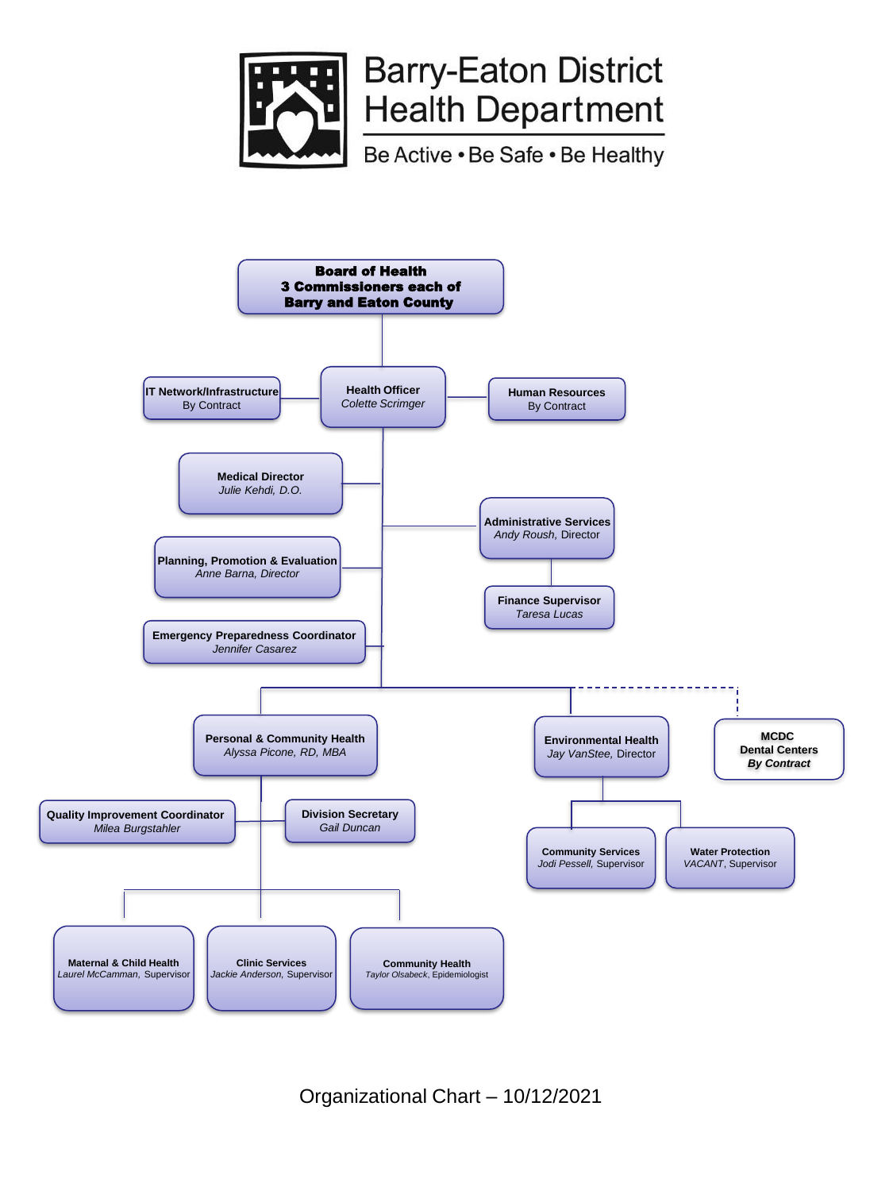

# **Barry-Eaton District Health Department**

Be Active . Be Safe . Be Healthy



Organizational Chart – 10/12/2021